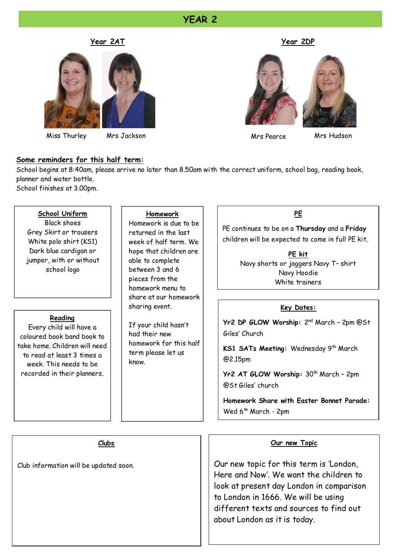#### **YEAR 2**



Miss Thurley Mrs Jackson Mrs Hudson

#### **Year 2AT Year 2DP**



Mrs Pearce

#### **Some reminders for this half term:**

School begins at 8:40am, please arrive no later than 8.50am with the correct uniform, school bag, reading book, planner and water bottle.

School finishes at 3.00pm.

#### **School Uniform**

Black shoes Grey Skirt or trousers White polo shirt (KS1) Dark blue cardigan or jumper, with or without school logo

#### **Reading**

Every child will have a coloured book band book to take home. Children will need to read at least 3 times a week. This needs to be recorded in their planners.

#### **Homework**

Homework is due to be returned in the last week of half term. We hope that children are able to complete between 3 and 6 pieces from the homework menu to share at our homework sharing event.

If your child hasn't had their new homework for this half term please let us know.

#### **PE**

PE continues to be on a **Thursday** and a **Friday** children will be expected to come in full PE kit.

> **PE kit** Navy shorts or joggers Navy T– shirt Navy Hoodie White trainers

#### **Key Dates:**

Yr2 DP GLOW Worship: 2<sup>nd</sup> March - 2pm @St Giles' Church

KS1 SATs Meeting: Wednesday 9<sup>th</sup> March @2.15pm

**Yr2 AT GLOW Worship:** 30th March – 2pm @St Giles' church

**Homework Share with Easter Bonnet Parade:** Wed  $6<sup>th</sup>$  March - 2pm

**Clubs**

Club information will be updated soon.

#### **Our new Topic**

Our new topic for this term is 'London, Here and Now'. We want the children to look at present day London in comparison to London in 1666. We will be using different texts and sources to find out about London as it is today.